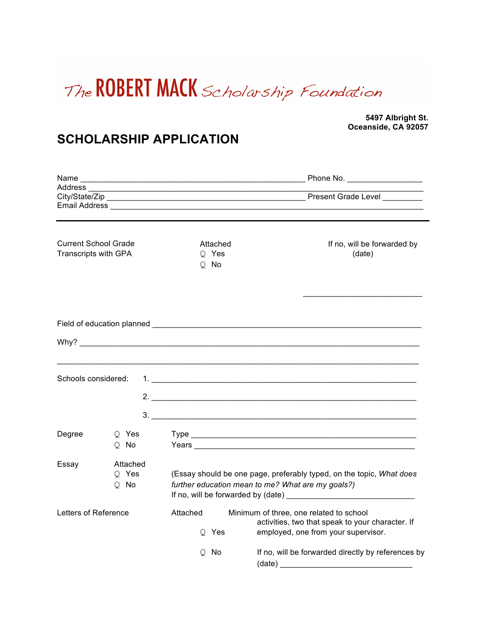

**5497 Albright St. Oceanside, CA 92057**

## **SCHOLARSHIP APPLICATION**

| Address ____                                               |                             | <u> 1989 - Johann Barbara, martxa alemaniar amerikan basar da a</u><br>Email Address and the contract of the contract of the contract of the contract of the contract of the contract of the contract of the contract of the contract of the contract of the contract of the contract of the contract |                                                                                                                                    |
|------------------------------------------------------------|-----------------------------|-------------------------------------------------------------------------------------------------------------------------------------------------------------------------------------------------------------------------------------------------------------------------------------------------------|------------------------------------------------------------------------------------------------------------------------------------|
| <b>Current School Grade</b><br><b>Transcripts with GPA</b> |                             | Attached<br>Q Yes<br>Q No                                                                                                                                                                                                                                                                             | If no, will be forwarded by<br>(date)                                                                                              |
|                                                            |                             |                                                                                                                                                                                                                                                                                                       |                                                                                                                                    |
|                                                            |                             |                                                                                                                                                                                                                                                                                                       |                                                                                                                                    |
| Schools considered:                                        |                             |                                                                                                                                                                                                                                                                                                       |                                                                                                                                    |
|                                                            |                             |                                                                                                                                                                                                                                                                                                       | 3.                                                                                                                                 |
| Degree                                                     | O Yes<br>Q No               |                                                                                                                                                                                                                                                                                                       |                                                                                                                                    |
| Essay                                                      | Attached<br>Q Yes<br>$Q$ No | (Essay should be one page, preferably typed, on the topic, What does<br>further education mean to me? What are my goals?)                                                                                                                                                                             |                                                                                                                                    |
| Letters of Reference                                       |                             | Attached<br>Q Yes                                                                                                                                                                                                                                                                                     | Minimum of three, one related to school<br>activities, two that speak to your character. If<br>employed, one from your supervisor. |
|                                                            |                             | No<br>O                                                                                                                                                                                                                                                                                               | If no, will be forwarded directly by references by<br>(date)                                                                       |